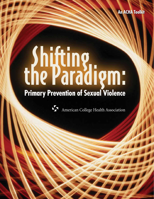# Shifting<br>the Paradigm:



American College Health Association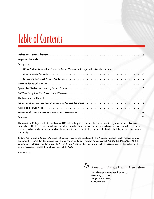# Table of Contents

| Background                                                                                                                                                                                                                     |  |
|--------------------------------------------------------------------------------------------------------------------------------------------------------------------------------------------------------------------------------|--|
| ACHA Position Statement on Preventing Sexual Violence on College and University Campuses 5                                                                                                                                     |  |
|                                                                                                                                                                                                                                |  |
| Re-visioning the Sexual Violence Continuum (a) and the second continuum of the Sexual Violence Continuum (a) and the vision of the Sexual Violence Continuum (a) and the vision of the vision of the vision of the vision of t |  |
|                                                                                                                                                                                                                                |  |
|                                                                                                                                                                                                                                |  |
|                                                                                                                                                                                                                                |  |
|                                                                                                                                                                                                                                |  |
| Preventing Sexual Violence through Empowering Campus Bystanders (and all contained according Sexual Violence through Empowering Campus Bystanders (and according to the containing of the                                      |  |
|                                                                                                                                                                                                                                |  |
|                                                                                                                                                                                                                                |  |
|                                                                                                                                                                                                                                |  |

The American College Health Association (ACHA) will be the principal advocate and leadership organization for college and university health. The association will provide advocacy, education, communications, products and services, as well as promote research and culturally competent practices to enhance its members' ability to advance the health of all students and the campus community.

Shifting the Paradigm: Primary Prevention of Sexual Violence was developed by the American College Health Association and supported by The Centers for Disease Control and Prevention (CDC) Program Announcement #05040 (US4/CCU324945-02): Enhancing Healthcare Providers Ability to Prevent Sexual Violence. Its contents are solely the responsibility of the authors and do not necessarily represent the official views of the CDC.

August 2008



891 Elkridge Landing Road, Suite 100 Linthicum, MD 21090 Tel: (410) 859-1500 www.acha.org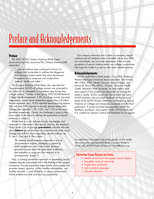# Preface and Acknowledgements

## Preface

The 2005 ACHA Campus Violence White Paper (www.acha.org/info\_resources/06\_Campus\_Violence.pdf) stated that

"…acts of violence have continued to force U.S. colleges and universities to address the dangerous and alarming violent events that send shockwaves throughout many campuses and compromise students' health and safety."

The Campus Violence White Paper also reported that "approximately 20-25% of college women are projected to be victims of an attempted or completed rape during their college careers." Further, in the Spring 2007 ACHA-National College Health Assessment, 3.9% of college women reported attempted or actual sexual penetration against their will within the last academic year, 10.6% reported sexual touching against their will, and 1.9% reported a sexually abusive relationship. College men reported 1.4%, 4.4%, and 1.3% on the same variables respectively. Clearly, the challenge is upon us that more needs to be done to address the prevention of sexual violence on campus.

While there is a rich volume of tools, knowledge, and resources for intervention after sexual violence, the emphasis of this toolkit is to encourage **prevention** activities that take place **before** sexual violence has occurred and create social change and shift the norms regarding sexual violence. As D. Lee, L. Guy, and B. Perry state:

"To address sexual violence prevention in a truly comprehensive manner, strategies to prevent its initial perpetration and victimization (primary prevention) must reach the same level of efficacy and adoption as programs that respond to its consequences" (page 7).

Thus, a primary prevention approach to preventing sexual violence requires a paradigm shift in the thinking of the campus community. Primary prevention helps create environments that promote respect, equality, civility, healthy relationships, and healthy sexuality — and ultimately, a campus environment where students are safe and learning successfully.

The campus community has a stake in preventing sexual violence and all members have a valuable role to play. With our commitment, we can raise awareness of the primary prevention of sexual violence within our college communities. We hope this toolkit is a start on this much needed journey.

## Acknowledgements

ACHA would like to thank Joetta L. Carr, PhD, Professor, Western Michigan University (lead consultant), Terri Kersch, MS, CHES, CWC, Health Educator, Siena College, and Donna M. Barry, RN, APN-C, Director, University Health Center, Montclair State University, for their tireless work and support of this project and especially for making this toolkit a reality. ACHA would also like to thank the many ACHA members who provided feedback on the previous drafts of the ACHA Position Statement on Preventing Sexual Violence on College and University Campuses and this final publication. It would not have been possible without the feedback, guidance, and support. Lastly, ACHA thanks the U.S. Centers for Disease Control and Prevention for its support.

For additional information about this project or this toolkit, visit www.acha.org/SexualViolence or contact Robert L. Ward, MS, ACHA Project Director at rlward@acha.org.

## Preventing Sexual Violence on Campus

- Identify social norms that support sexual violence
- Strengthen sense of community
- Target entire community
- Link to alcohol campaigns
- Use peer educators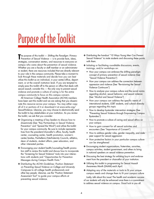# Purpose of the Toolkit

T The purpose of this toolkit  $-$  Shifting the Paradigm: Primary Prevention of Sexual Violence — is to provide facts, ideas, strategies, conversation starters, and resources to everyone on campus who cares about the prevention of sexual violence. Whether you are a faculty or staff member or an administrator or student, there are resources included that are directly relevant to your role in the campus community. Please take a moment to look through these materials and decide how you can best utilize this toolkit as an individual, in your center/office, department, or at the overall institution level. If you are tempted to simply pass this toolkit off to the person or office that deals with sexual assault, consider this — the only way to prevent sexual violence and promote a culture of caring is for the entire campus community to focus on this campus concern.

All American College Health Association (ACHA) members have been sent this toolkit and we are asking that you disseminate this resource across your campus. You may either copy all of it or portions of it or download it at www.acha.org/ SexualViolence. Likewise, you may choose to electronically send the toolkit to key stakeholders at your institution. As you review the toolkit, we ask that you consider:

- ✤ Organizing a meeting of key leaders to discuss how to disseminate (See "Key Partnerships in Sexual Violence Prevention" and "Spread the Word") and utilize the toolkit for your campus community. Be sure to include representatives from the president/chancellor's office, faculty, health center, counseling center, health promotion, women's center/studies, Panhellenic/Interfraternity Councils, athletics, dean of students, student affairs, peer educators, and other interested parties.
- ✤ Encouraging your student health/counseling/health promotion staff to review this toolkit and discuss how to incorporate the "Screening for Sexual Violence" tools into your interactions with students and "Opportunities for Prevention Messages during Campus Health Visits."
- ✤ Distributing the ACHA Guidelines: Position Statement on Preventing Sexual Violence on College and University Campuses to all college health professionals and other key people. Likewise, use the "Position Statement Assessment Tool" to guide your campus efforts at preventing sexual violence.
- ✤ Distributing the handout "10 Ways Young Men Can Prevent Sexual Violence" to male students and discussing these points with them.
- ✤ Initiating or facilitating roundtable discussions, events, trainings, and/or workshops on:
	- How your campus can embrace the shifting paradigm concept of primary prevention of sexual violence (See "Sexual Violence Prevention")
	- How your campus can address the connection between oppression and violence (See "Re-visioning the Sexual Violence Continuum")
	- How to analyze your campus culture and the social norms regarding alcohol, sexual behavior, and sexual violence (See "Alcohol and Sexual Violence")
	- How your campus can address the specific needs of international students, LGBT students, and cultural diversity groups regarding this topic
	- How to develop bystander intervention strategies (See "Preventing Sexual Violence through Empowering Campus Bystanders")
	- How to promote a culture of caring and sexual ethics on your campus
	- How to gain consent for all sexual activities and encounters (See "Importance of Consent")
	- How to address gender roles, gender inequality, and male peer support for sexual aggression
	- How protective factors in your particular campus culture can be strengthened
- ✤ Encouraging student organizations, fraternities, sororities, campus activities, student government, and others to bring in national speakers on sexual violence prevention.
- ✤ Discussing the best strategy for enlisting buy-in and endorsement from the president or chancellor of your institution.
- ✤ Utilizing this toolkit in programming for Sexual Assault Awareness Month (SAAM) each April.
- ✤ Adapting any of the materials or tools to fit your unique campus needs and change them to fit your campus culture

Lastly, talk about this issue! The health and academic success of our students will only be enhanced once there is a commitment to address sexual violence on campus. Good luck to you all.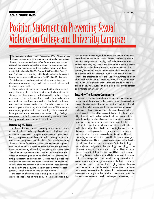## **ACHA GUIDELINES**

# Position Statement on Preventing Sexual Violence on College and University Campuses

T he American College Health Association (ACHA) recognizes sexual violence as a serious campus and public health issue. The ACHA Campus Violence White Paper documents current research that reveals high rates of sexual violence on college and university campuses and low levels of reporting of these incidents by students. Healthy People 2010 identifies "injury" and "violence" as a leading public health indicator. In recognition of this campus health concern, ACHA's Healthy Campus 2010 developed health objectives that serve as a basis for developing plans and programs to reduce sexual violence and improve student health.

High levels of victimization, coupled with cultural acceptance of rape myths, create an environment where victimized students are disempowered and alienated from their college experiences. This environment has resulted in impediments to academic success, lower graduation rates, health problems, and persistent mental health issues. Students cannot learn in an atmosphere where they do not feel safe. ACHA members are uniquely positioned to play a leading role in sexual violence prevention and to create a culture of caring. College campuses contain rich venues for educating students about healthy sexuality and communication skills.

## Reframing the Issue

All levels of prevention are necessary to stop the occurrence of sexual violence and to significantly improve the health status of campus communities. True primary prevention is populationbased using environmental and system-level strategies, policies, and actions that prevent sexual violence from initially occurring. The U.S. Centers for Disease Control and Prevention suggests that sexual violence is conceptualized by risk and protective factors on individual, relationship, community, and society levels. Sexual violence prevention activities include those that are aimed at addressing the domains of influence of potential victims, perpetrators, and bystanders. College health professionals can facilitate conversations about sex that focus on individual choices along the continuum of sexual activity. These conversations identify and popularize healthy sexuality that respects gender, sexual orientation, and gender identity.

The creation of a living and learning environment free of sexual violence is the ultimate goal. This vision requires a cultural shift that moves beyond the mere prevention of violence towards a community that adopts healthy and caring sexual attitudes and practices. Faculty, staff, administrators, and students must play key roles in the creation of a campus culture that reflects civility, honor, respect, and nonviolence. This campus/community culture shift conceptualizes sexual activity as a choice and as consensual. Consensual sexual activity involves the presence of the word "yes" without incapacitation of alcohol or other drugs, pressure, force, threat, or intimidation. As this conversation moves from the shadows into the public arena, individuals can learn skills necessary for consent and intimate communication.

## Engaging The Campus Community

Successful primary prevention of sexual violence requires recognition of the problem at the highest levels of campus leadership. Likewise, policy development and accountability for all policies that reflect intolerance for sexual violence across its continuum — from sexist statements to sexual harassment to sexual assault — should be enforced. Further, it is the responsibility of faculty, staff, and administrators to serve as mentors and role models for students as well as to provide educative opportunities for the primary prevention of sexual violence.

Efforts to prevent sexual violence should be multifaceted and include but not be limited to such strategies as classroom discussions, health promotion programs, media campaigns, peer education, and discussions during student health and counseling services visits. It is also critical to infuse messages about healthy sexuality and sexual violence prevention into the curriculum at all levels. Faculty in women's studies, biology, health sciences, religious studies, sociology, psychology, criminal justice, ethics, and other areas can be mobilized to share research and establish critical thinking skills to assist students in making healthy decisions that will decrease sexual violence.

A critical component of successful primary prevention of sexual violence is its recognition as a public health issue that involves both men and women. Encouraging the commitment of men to serve as positive role models for other men to be intolerant of sexual violence is as fundamental to prevention of sexual violence as are programs that provide continuous opportunities that empower women to develop self-respect, self-esteem, and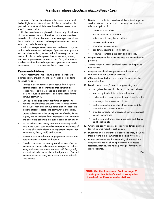assertiveness. Further, student groups that research has identified as high-risk for actions of sexual violence and vulnerable populations at-risk for victimization should be addressed with specific outreach efforts.

Alcohol use/abuse is implicated in the majority of incidents of campus sexual assaults. Therefore, awareness initiatives related to alcohol use/abuse and its relationship to sexual violence need to be consistent and comprehensive across policy, education, and role modeling.

In addition, campus communities need to develop programs on bystander intervention techniques. Bystander techniques are skills that allow students, faculty, and staff to recognize the continuum of violence and empower them to intervene, prevent, or stop inappropriate comments and actions. The goal is to create a culture shift from bystander apathy to bystander intervention, thus creating a culture in which violence cannot occur.

## Recommended Actions

ACHA recommends the following actions be taken to address policy, prevention, and intervention as it pertains to sexual violence:

- 1. Develop a policy statement and directive from the president/chancellor of the institution that demonstrates recognition of sexual violence as a problem, a commitment to reduce its occurrence, and action steps for the campus community.
- 2. Develop a multidisciplinary taskforce on campus to address sexual violence prevention and response services that includes high-level campus administration, academic leaders, student leaders, and community partnerships.
- 3. Create policies that reflect an expectation of civility, honor, respect, and nonviolence for all members of the community and encourage behaviors that build a sense of community.
- 4. Revise, enforce, and widely distribute disciplinary regulations in the student code that demonstrate an intolerance of all forms of sexual violence and implement sanctions for violations by faculty, staff, and students.
- 5. Educate disciplinary boards on perpetrator patterns and possible victim responses and patterns.
- 6. Provide comprehensive training on all aspects of sexual violence for campus administrators; campus law enforcement; health and counseling services staff; faculty; staff; and student leaders that includes the dynamics of sexual violence, access to care, victim response, and federal/ state statutes.
- 7. Develop a coordinated, seamless, victim-centered response service between campus and community resources that offers the options of:
	- anonymous reporting
	- law enforcement involvement
	- judicial/disciplinary board actions
	- forensic/medical care
	- emergency contraception
	- academic/housing accommodations
	- follow-up counseling, support, and advocacy
- 8. Integrate screening for sexual violence into patient history protocols.
- 9. Adhere to federal, state, and local statutes and reporting requirements.
- 10. Integrate sexual violence prevention education into curricular and non-curricular activities.
- 11. Offer residence hall and extra-curricular activities that are alcohol free.
- 12. Develop educational/outreach programming that:
	- recognizes that sexual violence is a learned behavior
	- teaches bystander intervention techniques
	- addresses the role of consent in sexual relationships
	- encourages the involvement of men
	- addresses alcohol and other drugs issues and the connection with sexual violence
	- provides concepts that encourage healthy, consensual sexual relationships
	- addresses non-stranger sexual violence and dispels traditional beliefs
- 13. Create and codify amnesty policies for underage drinking for victims who report sexual assault.
- 14. Invest men in the prevention of sexual violence, including those actions that dehumanize and objectify women.
- 15. Publish and announce the availability of protocols on campus websites for all campus members to access resources, referrals, and helping strategies for victims of sexual violence.

4/07

**NOTE: Use the Assessment Tool on page 21 to note your institution's level of completion of each of the Recommended Actions.**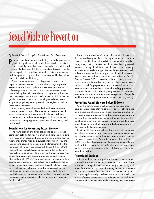# Sexual Violence Prevention

#### By David S. Lee, MPH, Lydia Guy, BA, and Brad Perry, MA

**P**rimary prevention involves developing comprehensive strategies that stop violence before initial perpetration or victimgies that stop violence before initial perpetration or victimization, especially those that make community and society level changes. The best sexual violence prevention strategies combine the socio-political analysis of the feminist anti-rape movement and the systematic approach to promoting healthy behaviors central to public health theory.

Prevention work focused on college-age students is an important element to any comprehensive strategy to prevent sexual violence. From a primary prevention perspective, college-age men and women are at a developmental stage where lifelong behaviors are shaped. Young men and women are continuing to learn how to perform their socially influenced gender roles, and how to act out their gender-based sexual scripts. Appropriately timed prevention strategies can reduce future sexual violence.

In this article, we will review the foundations of sexual violence prevention work. Then we will explore the use of education sessions to prevent sexual violence, and then review more comprehensive strategies, such as community mobilization, changing social norms, social marketing, and policy work.

## Foundations for Preventing Sexual Violence

The foundation of efforts for preventing sexual violence come from both the feminist movement and from empirical data from research on associated risk and protective factors. Feminist theory understands rape as a cultural phenomenon requiring interventions beyond the personal and interpersonal. It is the foundation of the anti-rape movement (Rozee & Koss, 2001). Feminist theory articulates sexual violence in the context of a rape culture, a complex system of beliefs that encourages male sexual aggression and supports violence against women (Buchwald et al., 1993). Interpreting sexual violence as a foreseeable consequence of rape culture has a profound effect on sexual violence prevention strategies. Sexual violence is seen as a continuum of behaviors instead of an isolated, deviant act. Feminist models of sexual violence hold that it is not inevitable, and can be prevented by making changes to societal norms surrounding sexuality, violence, gender, and oppression (hooks, 1989).

Research has identified risk factors for individual victimization, such as being female and having experienced past sexual victimization. Risk factors for individual perpetration include being male, having coercive sexual fantasies, hostility towards women, a history of childhood sexual victimization, growing up in an emotionally unsupportive family environment, and adherence to societal norms supportive of sexual violence, male superiority, and male sexual entitlement (Jewkes, Sen, & Garcia-Moreno, 2002). However, little is currently known about protective factors that may reduce vulnerability to victimization and risk for perpetration, or environmental factors that may contribute to prevalence. Notwithstanding, promoting protective factors and addressing negative social and environmental contributors are important components of a public health approach to prevent sexual violence (NCIPC, 2006).

# Preventing Sexual Violence Before It Occurs

Over the last 30 years, most anti-sexual violence efforts have been responses after the sexual violence or efforts to promote awareness of sexual assault and resources available to survivors of sexual violence. To address sexual violence prevention in a truly comprehensive manner, strategies to prevent its initial perpetration and victimization (primary prevention) must reach the same level of efficacy and adoption as programs that respond to its consequences.

Public health theory also advises that sexual violence prevention efforts be specific to an intentional audience. Audiences can also be categorized by their likely role in an act of sexual violence: as potential victims of the violence (Rozee & Koss, 2001), as potential perpetrators of the violence (Clinton-Sherrod, et al., 2003), or as potential bystanders who have an opportunity to prevent or intervene in the act (Banyard, Plante, & Moynihan, 2004).

## Educational Sessions

Educational sessions are perhaps the most commonly recognized form of sexual violence prevention work, and there are a wide variety of prevention curricula (see Morrison, et al., 2004 for a review). The goal of primary prevention education sessions is to prevent first-time perpetration or victimization by improving knowledge and attitudes that correspond to the origins of sexual violence (such as adherence to societal norms supportive of sexual violence, male superiority, and male sexual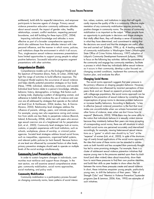entitlement), build skills for respectful interactions, and empower participants to become agents of change. Primary sexual violence prevention education commonly addresses attitudes about sexual assault, the impact of gender roles, healthy relationships, consent, conflict resolution, respecting personal boundaries, and skill building for these topics (CDC, 2004).

Impacting individual knowledge and attitudes is more effective as part of a broader comprehensive approach, which also addresses how those attitudes interact with interpersonal influence, and the manner in which norms, policies, and institutions shape the environment in which it all occurs. Thus, single-session sexual violence awareness presentations have limited opportunities to support young people to adopt positive behaviors. Successful education programs augment presentations with other activities.

## Comprehensive Models

Comprehensive models such as the Ecological Model and the Spectrum of Prevention (Davis, Parks, & Cohen, 2006) highlight the range of activities to build effective responses. The Ecological Model explains the occurrence of sexual violence and helps identify potential prevention strategies on four levels (Heise, 1998): individual, relationship, community, and societal. Individual level factors relate to a person's knowledge, attitudes, behavior, history, demographics, or biology. Risk factors such as being male, displaying a pattern of denigrating women, and adherence to beliefs that condone the use of violence and coercion are all addressed by strategies that operate on the individual level (Carr & VanDeusen, 2004; Jewkes, Sen, & Garcia-Moreno, 2002). Relationship level strategies address the influence of parents, siblings, peers, and intimate partners. For example, young men who experience caring and connection from adults are less likely to perpetrate violence (Resnick, Ireland, & Borowsky, 2004), while men with peers who encourage sexual coercion are at a heightened risk for perpetration (Loh, et al., 2005). Community level strategies look at norms, customs, or people's experiences with local institutions, such as schools, workplaces, places of worship, or criminal justice agencies. Societal level strategies address broad social forces, such as inequalities, oppressions, organized belief systems, and relevant public policies (or lack thereof). Because factors at one level are influenced by connected factors at other levels, primary prevention strategies should seek to operate on multiple levels of the social ecology simultaneously.

## Community Level Prevention Strategies

In order to sustain long-term changes in individuals, communities must reinforce and support those changes. In the next section, we will examine several comprehensive strategies: community mobilization, social norms approaches, social marketing, and policy work.

#### Community Mobilization

Community mobilization is a participatory process focused on changing community norms, basic patterns of social interaction, values, customs, and institutions in ways that will significantly improve the quality of life in a community. Effective implementation of any community mobilization requires promoting positive changes in community norms. The process of community mobilization is as important as the output. "When people have an opportunity to participate in decisions and shape strategies that vitally affect them, they will develop a sense of ownership in what they have determined, and commitment to seeing that the decisions are sound and that the strategies are useful, effective and carried out" (Lofquist, 1996, p. 4). A leading example of community mobilization is Washington State's (Washington State Office of Crime Victims Advocacy, 1997) adaption of Lofquist's Community Development framework (Lofquist, 1996) to focus on the following key activities: define the parameters of the community and engage key community members, facilitate a process in which these key individuals define sexual violence as it occurs in their community, develop a plan focused on changing societal conditions, implement the community mobilization plan, and evaluate the effort.

#### Changing Social Norms

The social norms approach suggests that peer pressure is the primary influence on shaping people's behavior. However, many behaviors are influenced by incorrect perceptions of how peers think and act. Based on research primarily conducted with college-age populations, the social norms approach can be applied to the prevention of sexual violence by correcting these misperceptions of group norms to decrease problem behaviors or increase healthy behaviors. According to Berkowitz, "a key to effective [sexual violence] prevention is the fact that most males are uncomfortable when we witness harassment and other forms of violence, even when we don't know how to respond" (Berkowitz, 2003). While there may be some utility to the notion that individuals behave in a sexually violent manner because they mistakenly believe their peers are more accepting of corresponding social norms, there are still situations in which harmful social norms are perceived accurately and internalized accordingly, for example, viewing heterosexual sexual interactions as a "game" in which men should try to "win" at the "expense" of women (Loh, et al., 2005). In spite of the shortcomings of overly broad applications of the social norms approach, the idea that some of these norms can be revealed to adolescents as both harmful and less accepted than previously thought has led to some promising strategies. For example, there is a cluster of adolescent sexual violence prevention initiatives that expose young men to the pressures exerted upon them by traditional (and often violent) ideas about masculinity, show them how to resist these pressures to find their own positive identities, and build their skills as peer leaders to show others the link between the norms these pressures create and sexual violence. In short, these initiatives empower young people, particularly young men, to shift the behaviors of their peers. "Men of Strength Clubs" and "Mentors in Violence Prevention" bystander programs (Lee & Lemmon, 2006; Katz, 1995) are examples of such initiatives.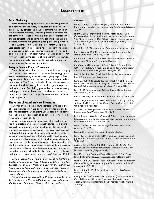#### Social Marketing

Social marketing campaigns draw upon marketing research and behavior change theory to develop strategies to shift behaviors. Key components include orientating the campaign toward a target audience, conducting formative research and pre-testing of messages, developing strategies to address barriers and competition to adapting new behaviors, and using a standard marketing mix (product, price, place, and promotion) (Lefebre & Flora, 1988). California's MyStrength Campaign uses peer-to-peer contact to create new social norms reinforced by a supportive school environment, paid advertising, and earned media. The campaign theme "My Strength Is Not for Hurting" repositions the concept of male strength to encourage, motivate, and enable young men to take action to prevent sexual violence (Lee & Lemmon, 2006).

#### Policy to Promote Primary Prevention

The implementation of education and social norms changing activities, and other pieces of a comprehensive strategy against sexual violence among youth, requires ongoing support from key decision-makers in the community, and in state and federal organizations. The Ecological Model places policy activities at the societal level, influencing factors such as gender-equality and social norms. Establishing polices that mandate university staff respond to sexual harassment and changing advertising practices that sexualize or objectify women are examples of potential policies.

## The Future of Sexual Violence Prevention

Whether or not we see a future decrease in the prevalence of sexual violence will hinge on how effective today's efforts are with adolescents. By engaging young people to be part of the solution, a new generation of leaders will be empowered to further prevention efforts.

Sexual violence prevention efforts are in the midst of a transition from creating awareness of sexual violence to advancing comprehensive primary prevention strategies for community change. Since sexual violence is a cultural issue, solutions must go beyond stopping sexual violence, and should promote behaviors and cultural norms that are healthy, such as egalitarian gender roles, gender equity, healthy relationships, and healthy sexuality. Both women and men must be engaged in this effort to create the day when sexual violence no longer exists so that we can, "… begin the real practice of equality, and then, instead of rape we will for the first time in our lives — both men and women — begin to experience freedom" (Dworkin, 1983).

David S. Lee, MPH, is Prevention Director at the California Coalition Against Sexual Assault. Lydia Guy, BA, is Prevention Services Director for the Washington Coalition of Sexual Assault Programs. Brad Perry, MA, is the Sexual Violence Prevention Coordinator at the Virginia Sexual and Domestic Violence Action Alliance.

This article has been adapted from D. S. Lee, L. Guy, B. Perry, C. K. Sniffen, S. A. Mixson, (2007) Sexual Violence Prevention, The Prevention Researcher, Volume 14(2), pp. 15-20.

#### References

Banyard, V.L., Plante, E.G., & Moynihan, M.M. (2004). Bystander education: Bringing a broader community perspective to sexual violence prevention. *Journal of Community Psychology,* 32, 61-79.

Berkowitz, A. (2003). Young Men as Allies in Preventing Violence and Abuse — Building Effective Partnerships with Schools, Family Violence Prevention Fund's 2003 Online Discussion Series: "Building Partnerships to End Men's Violence" — Discussion 4, Retrieved November 2006, www.vawnet.org/DomesticViolence/PreventionAndEducation/Approaches/ SocialNorms.php

Buchwald, E. et. al. (1993). *Transforming a Rape Culture.* Minneapolis, MN: Milkweed Editions.

Carr, J.L., & VanDeusen, K.M. (2004). Risk factors for male sexual aggression on college campuses. *Journal of Family Violence,* 19(5), 179-189.

Centers for Disease Control and Prevention. (2004). *Sexual Violence Prevention: Beginning the Dialogue,* Atlanta, GA: Centers for Disease Control and Prevention.

Clinton-Sherrod, M., Gibbs, D., Amy Vincus, A., Squire, S., Cignetti, C., Pettibone, K, & Igoe, J. (2003). *Report Describing Projects Designed to Prevent First-Time Male Perpetration of Sexual Violence.* Retreived from www.nsvrc.org/resources/docs/rti\_report.pdf

Davis, R. Parks, L. F., & Cohen, L. (2006). *Sexual Violence and the Spectrum of Prevention,* Enola, PA: National Sexual Violence Resource Center.

Dworkin, A. (1983). I Want a Twenty-Four-Hour Truce During Which There Is No Rape. In A. Dworkin (1989) *Letters From a War Zone: Writings 1976-87.* New York: E. P. Dutton. Retrieved November 2006 from www.nostatusquo.com/ACLU/dworkin/WarZoneChaptIIIE.html

Heise, L. (1998). Violence against women: An integrated, ecological framework. *Violence Against Women,* 4(3), 262-290.

hooks, b. (1989) *Talking back: thinking feminist, thinking black.* Boston, MA: South End Press.

Jewkes, R., Sen, P., & Garcia-Moreno, C. (2002). Sexual violence. In E. G. Krug, L.L. Dahlberg, J.A. Mercy, A.B. Zwi & R. Lozano (Eds.), *World Report on Violence and Health* (pp. 147-181). Geneva: World Health Organization.

Katz, J. (1995) Reconstructing masculinity in the locker room: The Mentors in Violence Prevention Project. *Harvard Educational Review,* Vol. 65, No. 2.

Lee, D.S., & Lemmon, P. (November 2006). MyStrength: California's social marketing campaign to engage young men to prevent sexual violence Poster session presented at the annual meeting of the American Public Health Association, Boston, MA.

Lefebre R.C., & Flora, J. A. (1988). Social Marketing and Public Health. *Health Education Quarterly* Vol. 15 (3), 299-315.

Lofquist, W. (1996). *Technology of Development.* Development Publications.

Loh, C., Gidycz, C.A., Lobo, T.R., & Luthra, R. (2005). A prospective analysis of sexual assault perpetration: Risk factors related to perpetrator characteristics. *Journal of Interpersonal Violence,* 20, 1325-1348.

Morrison, S., Hardison, J., Mathew, A., & O'Neil, J. (September 2004). *An Evidence-Based Review of Sexual Assault Preventive Intervention Programs.* Retrieved on November 30, 2006 from www.ncjrs.gov/pdffiles1/nij/grants/207262.pdf

National Center for Injury Prevention and Control. (2006, September 7). Sexual Violence: Fact sheet. Retrieved November, 2006, from www.cdc.gov/ncipc/factsheets/svfacts.htm

Resnick, M.D., Ireland, M., & Borowsky, I. (2004). Youth violence perpetration: What protects? What predicts? Findings from the National Longitudinal Study of Adolescent Health. *Journal of Adolescent Health,* 35, 424-433.

Rozee, P.D., & Koss, M. P. (2001). Rape: A century of resistance, *Psychology of Women Quarterly,* 25, 295-311.

Washington State Office of Crime Victims Advocacy, (August 1997). *Sexual Assault Prevention Plan for Washington State.* Office of Crime Victims Advocacy, Department of Community, Trade and Economic Development and Washington State Department of Health, The Evergreen State College.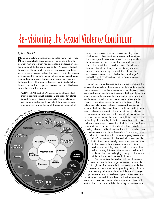# Re-visioning the Sexual Violence Continuum

#### By Lydia Guy, BA

Rape as a cultural phenomenon, or stated more simply, rape as a predictable consequence of the power differential between men and women has been a topic of discussion since the creation of the first rape crisis centers. Academics tended to use terms like patriarchy, misogyny, and sexism, and those words became integral parts of the lexicon used by the women who became the founding mothers of our current sexual assault service delivery system. The basic premise of this concept is that rape does not happen just because one individual chooses to rape another. Rape happens because there are attitudes and norms that allow it to happen.

"WHAT IS RAPE CULTURE? It is a complex of beliefs that encourages male sexual aggression and supports violence against women. It occurs in a society where violence is seen as sexy and sexuality as violent. In a rape culture, women perceive a continuum of threatened violence that



ranges from sexual remarks to sexual touching to rape itself. A rape culture condones physical and emotional terrorism against women as the norm. In a rape culture, both men and women assume that sexual violence is a fact of life, inevitable as death or taxes. This violence, however, is neither biologically nor divinely ordained. Much of what we accept as inevitable is in fact the expression of values and attitudes that can change." Buchwald, E. et. al. (1993) Transforming a Rape Culture. Minneapolis, MN: Milkweed Editions.

The continuum was designed as a visual aid to illustrate the concept of rape culture. The objective was to provide a simple way to describe a complex phenomenon. The interesting thing about portraying something as a picture is that even though we draw the picture to represent how we see the issue, how we see the issue is affected by our experience of looking at the picture. In most visual conceptualizations the image not only reflects our belief system but also shapes our belief system. This is one of the things that make them so profound, and the main reason I choose to re-envision the sexual violence continuum.

There are many depictions of the sexual violence continuum. The most common shapes have been straight lines, spirals, and circles. They all have a key factor in common: they depict sexual violence as a range or succession of related behaviors. Some sexual violence continua list individual acts of sexually violating behaviors, while others tend toward less tangible items such as norms or attitudes. Some depictions are very careful not to present sexual violence as a progression from "minor" to "extreme;" this is usually done to respect the fact that we cannot quantify the experiences of survivors.

As I reviewed different sexual violence continua, I noticed another thing they all had in common: they all had strong linkages between sexism and sexual violence, the base underlying assumption that sexual violence is the inevitable result of sexism.

The assumption that sexism and sexual violence are inextricably linked together seemed reasonable at first glance. The current depictions seem to imply that we can end sexual violence by ending sexism alone. It has been my belief that it is impossible to end a single oppression; to work to end one oppression requires us to work to end them all. It was then I realized my critique wasn't just about the continuum but about rape culture and feminist theory as a whole. I decided to try to create a more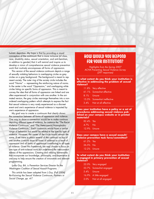holistic depiction. My hope is that by providing a visual conception of the continuum that is more inclusive (of class, race, disability status, sexual orientation, and anti-Semitism, in addition to gender) that it will remind and inspire us to develop a vision of comprehensive sexual violence prevention work that routinely encompasses all forms of oppression.

This version of the sexual violence continuum depicts a range of sexually violating behaviors in overlapping circles as grey circles on a grey background. The background is meant to represent society. The outer ring of the society circle includes the word "Norms" — representing the reinforcing nature of norms. In the center is the word "Oppression," and overlapping white circles listing six specific forms of oppression. This is meant to convey the idea that all forms of oppression are linked and are often experienced in conjunction with one another. In the animated version, the grey circles rearrange themselves into a nonordered overlapping pattern which attempts to express the fact that sexual violence is very rarely experienced as a discreet event and one's experience of sexual violence is impacted by one's experience of oppression.

My goal was to create a continuum that clearly shows the connection between all forms of oppression and violence. One way to show a connection would be to make continua depicting different types of violence, for instance the "The Racist Violence Continuum" and "The Heterosexist/Homophobic Violence Continuum." Each continuum would have a similar range of behaviors but would be related to the specific type of violence. However, the center of the circle would remain the same. If we were to place several of the continua on top of one another it would show all forms of violence as a result of oppression and all forms of oppression contributing to all types of violence. Given this framework, we may choose to focus on one type of anti-violence work but understand the interconnectedness of the oppressions. Creating and utilizing frameworks that incorporate our knowledge, philosophy, and experience is one way to help ensure the creation of innovative and relevant programming.

Lydia Guy, BA, is Prevention Services Director for the Washington Coalition of Sexual Assault Programs.

This article has been adapted from L.Guy, (Fall 2006) Re-Visioning the Sexual Violence Continuum, Partners in Social Change, pp. 4-7.

# HOW WOULD YOU RESPOND FOR YOUR INSTITUTION?

Highlights from the Spring 2007 ACHA Preventing Sexual Violence Survey (297 responses)

**To what extent do you think your institution is effective in addressing the problem of sexual violence?**

|             | 11.8% Very effective       |
|-------------|----------------------------|
|             | 61.1% Somewhat effective   |
| 8.1% Unsure |                            |
|             | 15.5% Somewhat ineffective |
| 3.4%        | Not at all effective       |

**Does your institution have a policy or a set of procedures addressing sexual violence published on your campus website or in printed materials?**

| 82.4% Yes    |     |
|--------------|-----|
| $4.7\%$      | 'No |
| 12.9% Unsure |     |

**Does your campus have a sexual assault/ violence prevention task force/committee?**

| $61.2\%$ Yes |  |
|--------------|--|
| $26.5\%$ No  |  |
| 12.2% Unsure |  |

**To what extent do you think your institution is engaged in primary prevention of sexual violence?**

|          | 22.0% Very engaged |
|----------|--------------------|
| $53.7\%$ | Somewhat engaged   |
| 5.4%     | Unsure             |
| 16.9%    | A little engaged   |
| 2.0%     | Not at all engaged |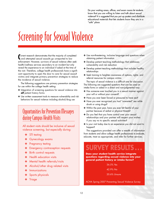Do your waiting areas, offices, and exam rooms let students know that you are willing to listen and talk about sexual violence? It is suggested that you put up posters and distribute educational materials that lets students know they are in a "safe" place.

# Screening for Sexual Violence

C urrent research demonstrates that the majority of completed and attempted sexual assaults go unreported to law enforcement. However, survivors of sexual violence often seek health/wellness services secondary to an incident but only reveal the experience to an individual if asked at the time of the visit. Therefore, college health professionals have a significant opportunity to open the door to care for sexual assault victims and integrate primary prevention strategies to reduce the incidence of sexual violence.

The following suggestions are primary prevention strategies for use within the college health setting:

- ✤ Integration of screening questions for sexual violence into **all** patient history forms
- ✤ Use written assessment tools to measure vulnerability and risk behaviors for sexual violence including alcohol/drug use

# Opportunities for Prevention Messages during Campus Health Visits

All student visits should be inclusive of sexual violence screening, but especially during:

- ✤ STI testing
- Gynecology exams
- ✤ Pregnancy testing
- ✤ Emergency contraception requests
- ✤ Birth control requests
- ✤ Health education visits
- Mental health referrals/visits
- ✤ Alcohol/other drug related visits
- **Immunizations**
- Sports physicals
- ✤ Triage
- ✤ Use non-threatening, inclusive language and questions when obtaining patient information
- ✤ Develop patient teaching methodology that addresses vulnerability and risk reduction
- ✤ Develop patient teaching methodology that includes healthy relationships
- ✤ Seek training to heighten awareness of options, rights, and referral resources for campus victims

The topic of sexual violence is a difficult one for discussion. The following are suggested questions that can be used on intake forms or asked in a direct and non-judgmental way:

- ✤ Has someone ever touched you in a sexual manner against your will or without your consent?
- ✤ Have you ever been forced or pressured to have sex?
- ✤ Have you ever recognized you had "unwanted" sex while drunk or using drugs?
- ✤ Within the past year, have you ever felt fearful of your partner because of verbal or physical threats?
- ✤ Do you feel that you have control over your sexual relationships and your partner will respect your wishes if you say no to specific sexual activities?
- ✤ Is your visit today due to an experience you did not want to happen?

The suggestions provided can offer a wealth of information from students and allow college health professionals to evaluate, educate, treat as appropriate, and refer for further services.

# **SURVEY RESULTS . . .**

**Does your student health service integrate questions regarding sexual violence into your general patient history or intake forms?**

## 36.5% Yes

42.9% No

20.6% Unsure

ACHA Spring 2007 Preventing Sexual Violence Survey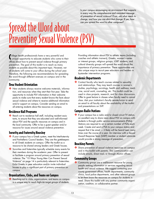Is your campus encouraging an environment that supports in every way the comprehensive and consistent message of prevention of sexual violence? If not, ask what needs to change, and how you can elicit that change. If yes, how can you spread the word to other campuses?

# Spread the Word about Preventing Sexual Violence (PSV)

College health professionals have a very powerful and<br>Unique opportunity to educate students who come to unique opportunity to educate students who come to their offices about how to prevent sexual violence through primary prevention. The goal of this toolkit is to reach as many students as possible about this important topic. However, not all students will come to your office during the school year. Therefore, the following are recommendations for spreading the word through different avenues on campus and in the community.

# New Student Orientation

✤ New students always receive welcome materials, information, and resources when they start their first year. Take the opportunity to include PSV information in their welcome packs to make sure that every student knows the facts about sexual violence and where to receive additional information and/or support on campus. Consider sending an email to all entering students about the resources on campus.

# Residence Hall Programs

✤ Reach out to residence hall staff, including resident assistants, to ensure that they are educated and well-informed about PSV and the specific resources on campus and in the local community. Offer to be a guest speaker and/or resource for issues around sexual violence prevention.

# Sorority and Fraternity Housing

- ✤ If your campus has a Greek system, meet the Interfraternity and Panhellenic Council leaders. They are the gatekeepers to all Greek students on campus. Offer the toolkit as a resource to be shared among leaders and Greek houses.
- ✤ Sororities and fraternities typically schedule many events for their members during the academic year. Offer to present or facilitate a program around primary prevention of sexual violence. The "10 Ways Young Men Can Prevent Sexual Violence" on page 14 is particularly relevant to fraternities. Enlist Greeks in peer education and/or invite individual houses to play a significant part of primary prevention on campus.

# Organizations, Clubs, and Teams on Campus

✤ Reaching out to clubs, organizations, and teams on campus is a unique way to reach high-risk target groups of students.

Providing information about PSV to athletic teams (including coaches and athletic trainers), Greeks, women's center or interest groups, religious groups, LGBT students, and cultural diversity groups will spread the word about the importance of primary prevention. These opportunities are also unique ways to recruit peer educators and leaders in bystander intervention programs.

# Academic Departments

✤ Contact faculty who teach courses related to sexuality and relationships. They may teach courses in women's studies, psychology, sociology, health and wellness, medicine, social work, counseling, etc. This toolkit could be used in class projects, research, and for class discussions. Offer to guest lecture in classes when faculty need to cancel class. Ask your institution's faculty senate/union to send an email to all faculty about the availability of the toolkit and presentations on SVP.

# Campus Radio Stations

✤ If your campus has a radio and/or closed circuit TV station, an excellent way to share news about PSV on campus with students is through public service announcements (PSAs). Stations are required to air a certain number of PSAs each week. Create and send a PSA to your campus station and request that it be aired — it likely will be heard/seen many times over the course of a year. An interview with a Sexual Assault Response Team (SART) member or student advocate would provide a strong message of prevention.

# Reaching Parents

✤ Share prevention of sexual violence resources on campus and in this toolkit with parents. This communication can include emails, direct mail, or through Alumni offices.

# Community Groups

<sup>●</sup> Community groups are a well-known resource for young people seeking information or services regarding sexual health and sexual violence. We suggest contacting your county government offices, health departments, community clinics, local police departments, and other relevant groups to let them know the resources on campus for students in need. Share this toolkit with any partner community organization, coalition, or collaborative partner.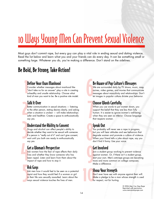# 10 Ways Young Men Can Prevent Sexual Violence

Most guys don't commit rape, but every guy can play a vital role in ending sexual and dating violence. Read the list below and learn what you and your friends can do every day. It can be something small or something large. Whatever you do, you're making a difference. Don't stand on the sidelines.

# Be Bold, Be Strong, Take Action!

# Define Your Own Manhood

 $\begin{array}{c}\n\bullet \\
\bullet \\
\bullet \\
\bullet \\
\bullet \\
\bullet\n\end{array}$ Consider whether messages about manhood like "don't take no for an answer" play a role in creating unhealthy and unsafe relationship. Choose what kind of man you want to be. Be a positive role model.

# Talk It Over

 $\frac{1}{2}$ <br>Be<br>to  $\frac{1}{2}$  sc Better communication in sexual situations — listening to the other person, stating desires clearly, and asking when a situation is unclear – will make relationships safer and healthier. Create a space to enthusiastically say yes.

# Understand the Ability to Consent

 $\begin{array}{c}\n 36 \\
 36 \\
 \hline\n 10 \\
 0\n \end{array}$ Drugs and alcohol can affect people's ability to decide whether they want to be sexual with someone. If a person is "really out of it" and can't give consent, wait until you both are ready to enthusiastically say yes.

# Get a Woman's Perspective

4 Ask women how the fear of rape affects their daily lives and whether they know someone who has been raped. Listen and learn from them about the impact of rape and how to stop it.

# Ask Guys

 $\frac{1}{\sqrt{2}}$ Ask men how it would feel to be seen as a potential rapist and how they would feel if a woman or girl in their life was sexually assaulted. Learn about the ways sexual violence touches the lives of men.

# Be Aware of Pop Culture's Messages

 $\begin{array}{c}\n\mathbf{B} \\
\mathbf{V} \\
\mathbf{a} \\
\mathbf{m} \\
\mathbf{e}\n\end{array}$ We are surrounded daily by TV shows, music, magazines, video games, and movies that communicate messages about masculinity and relationships. Don't let images in popular culture dictate your behavior.

# $\begin{array}{c}\n\hline\n\text{Re}\n\\ \hline\n\text{Re}\n\\ \text{Im}\n\\ \text{Im}\n\\ \text{Im}\n\\ \text{Im}\n\\ \text{Im}\n\\ \text{Im}\n\\ \text{Im}\n\\ \text{Im}\n\\ \text{Im}\n\\ \text{Im}\n\\ \text{Im}\n\\ \text{Im}\n\\ \text{Im}\n\\ \text{Im}\n\\ \text{Im}\n\\ \text{Im}\n\\ \text{Im}\n\\ \text{Im}\n\\ \text{Im}\n\\ \text{Im}\n\\ \text{Im}\n\\ \text{Im}\n\\ \text{Im}\n\\ \text{Im}\n\\ \text{Im}\n\\ \text{Im}\n\\ \text{Im}\n\\ \$ Choose Words Carefully

When you use words to put women down, you support the belief that they are less than fully human. It is easier to ignore women's well-being when they are seen as inferior. Choose language that respects women.

# Speak Out

8<br>8<br>8<br>8<br>8<br>8<br>8<br>8<br>8 You probably will never see a rape in progress, but you will hear attitudes and see behaviors that degrade women and promote a culture of violence. When your friend tells a joke about rape, say you don't find it funny. Use your voice.

# Get Involved

9 Join a student group working to prevent violence against women. Or, if there isn't a student group, start your own. Men's anti-rape groups are becoming more and more common on college campuses. Make a difference.

# Show Your Strength

 $\sum_{k=1}^{N}$ Don't ever have sex with anyone against their will. Make a pledge to be a man whose strength is used for respect, not for hurting.

> © 2006 Men Can Stop Rape Reprinted with permission. www.mencanstoprape.com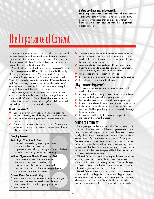#### Before you have sex, ask yourself...

Have I expressed what I want? Do I know what my partner wants? Am I certain that consent has been given? Is my potential partner sober enough to decide whether or not to have sex? Am I sober enough to know that I've correctly gauged consent?

# The Importance of Consent

Consent for any sexual activity is the centerpiece for preventing sexual coercion and unwanted sexual behavior. Consent can and should be incorporated as an essential and fun part of sexual communication. Likewise, it is a vital component of mutual pleasure and healthy sexuality.

A simple Internet search will produce many campus "Consent is Sexy" campaigns. ACHA would like to thank the University of Georgia University Health Center's Health Promotion Department (www.uhs.uga.edu/consent/index.html) and Columbia University Health Service's Sexual Violence Prevention and Response Program (www.health.columbia.edu/docs/ services/svprp/consent.html) for their permission to reprint many of their materials used on this page.

We encourage you to share these resources with peer educators, student leaders, etc., and encourage them to be creative with "Consent is Sexy." Remember these materials can be downloaded at www.acha.org/SexualViolence and then tailored for your campus environment.

## What is consent?

- Consent is a voluntary, sober, enthusiastic, creative, wanted, informed, mutual, honest, and verbal agreement.
- ✤ Consent is an active agreement; Consent cannot be coerced.
- Consent is a process, which must be asked for every step of the way; if you want to move to the next level of sexual intimacy, just ask.

## Gauging Consent

#### **Red: Signs You Should Stop**

You are too intoxicated to gauge or give consent. Your partner is asleep or passed out.

You hope you partner will say nothing and go with the flow. You intend to have sex by any means necessary.

#### **Yellow: Signs You Should Pause and Talk**

You are not sure what the other person wants. You feel like you are getting mixed signals. You have not talked about what you want to do. You assume that you will do the same thing as before. Your partner stops or is not responsive.

#### **Green: Keep Communicating**

Partners come to a mutual decision about how far to go. Partners clearly express their comfort with the situation. You feel comfortable and safe stopping at any time. Partners are excited!

- Consent is never implied and cannot be assumed, even in the context of a relationship. Just because you are in a relationship does not mean that you have permission to have sex with your partner.
- ◆ A person who is intoxicated cannot legally give consent. If you're too drunk to make decisions and communicate with your partner, you're too drunk to consent.
- ✤ The absence of a "no" doesn't mean "yes."
- ✤ Both people should be involved in the decision to have sex.
- ✤ It is not sexy to have sex without consent!

# Why is consent important?

- Communication, respect, and honesty make sex and relationships better.
- Asking for and obtaining consent shows that you have respect for both yourself and your partner.
- **<sup>◆</sup>** Positive views on sex and sexuality are empowering.
- ✤ It questions traditional views about gender and sexuality.
- ✤ It eliminates the entitlement that one partner feels over the other. Neither your body nor your sexuality belongs to someone else.
- ✤ It is normal and healthy for women to expect to be included in the consent process.

## ASKING FOR CONSENT

Show your partner that you respect her/him enough to ask about her/his sexual needs and desires. If you are not accustomed to communicating with your partner about sex and sexual activity, the first few times may feel awkward. But, practice makes perfect. Be creative and spontaneous. Don't give up. The more times you have these conversations with your partner, the more comfortable you will become communicating about sex and sexual activity. Your partner may also find the situation awkward at first, but over time you will both be more secure in yourselves and your relationship.

**When?** Before you act. It is the responsibility of the person initiating a sex act to obtain clear consent. Whenever you are unsure if consent has been given, ask. Check-in throughout. Giving consent ahead of time does not waive a person's right to change their mind or say no later.

**How?** Consent is not just about getting a yes or no answer, but about understanding what a partner is feeling. Ask openended questions. Listen to and respect your partner's response, whether you hear yes or no: "I'd really like to. . . how does that sound?" "How does this feel?" "What would you like to do?"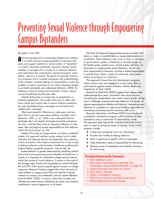# Preventing Sexual Violence through Empowering Campus Bystanders

#### By Joetta L. Carr, PhD

**A** promising approach to preventing interpersonal violence is to teach and encourage bystanders to intervene with peers and support potential or actual victims. A "bystander" is a friend, classmate, teammate, coworker, teacher, family member, or stranger who is aware of or observes situations and interactions that could lead to sexual harassment, intimidation, coercion, or assault. The goals of bystander intervention programs are to increase awareness and understanding of the problem, increase feelings of responsibility to solve this problem, increase commitment to act, and to empower people to act both individually and collectively (McGann, 2005). By fostering a sense of caring and community, campus cultures can be transformed and become safer.

Instead of focusing on young men as perpetrators or potential perpetrators, this model views men as allies who have critical and unique roles in sexual violence prevention. By reducing defensiveness, messages can be heard and collaboration cultivated.

"Men have powerful influences on male peers and can learn how to use their persuasive abilities in healthy ways" (Kilmartin, 2001, p. 6). "When men understand that the bystander role is not neutral, that hypermasculinity and sexism are toxic, and that they have an important influence on their peers, they can begin to accept responsibility for their behavior within the social group" (p. 45).

Instead of focusing on young women as victims or potential targets, this approach teaches young women how to safely intervene and interrupt abusive and potentially risky scenarios. In fact, everyone in the campus community has a role to play, including professors, administrators, healthcare professionals, student leaders, graduate assistants, clerical staff, etc.

Student behavior is greatly determined by prevailing cultural and social norms governing sexual attitudes and behaviors in society. It is important to understand college sexual violence within the context of social relations. Contrary to the myth of the stranger rape, friends and acquaintances commit between 80 and 90% of the sexual assaults against women on college campuses. Research findings suggest that only a minority of male students on campus commit the vast majority of sexual violence on campus, are undetected, and are repeat offenders (Lisak & Miller, 2002). A campus culture that accepts and tolerates less severe sexual misbehavior by many more students contributes to sexual aggression at all levels.

We have all observed inappropriate sexual encounters that alarm us, make us uncomfortable, or cause embarrassment or humiliation. These behaviors may occur in class, in corridors, at sports events, parties, at fraternity or sorority houses, at the health center, student union, school events, and bars. As bystanders to inappropriate sexual behavior, we not only have opportunities to intervene, we have a shared responsibility to prevent harm, foster a sense of community, and create a culture of caring at our institutions.

This approach draws from ally development programs where campus men are engaged as social justice allies to end violence against women (Fabiano, Perkins, Berkowitz, Linkenbach, & Stark, 2003).

Research by Berkowitz (2002) suggests that college males underestimate their peers' discomfort with sexist behavior. Correcting this misperception may result in men's greater willingness to challenge inappropriate peer behavior and speak out against rape-supportive attitudes and behavior. Interpreting sexist behavior as a problem is a step toward feeling responsible for intervening and possessing the necessary skills to act.

Banyard, Moynihan, and Plante (2007) have developed a bystander intervention program at the University of New Hampshire using a community of responsibility model. This approach goes beyond the individual level (with a focus only on men) to community levels of change. Goals of this program include:

- ✤ Create new situational norms for intervention
- ✤ Provide role models of helping behavior
- ✤ Build a repertoire of specific skills for bystanders
- ✤ Foster bystander's sense of responsibility for intervening
- ✤ Develop sense of competence and identify situations for intervening

## Bystander Intervention Key Components

- Role modeling is crucial
- Entire campus community has a stake (see "Key Partnerships in Sexual Violence Prevention" on page 18)
- Support bystander intervention on campus
- Teach skills to intervene
- Obtain commitment to intervene
- Teach how to interrupt a possible sexual assault
- Reduce defensiveness to the message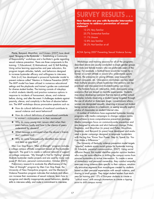Plante, Banyard, Moynihan, and Eckstein (2007) have developed "Bringing in the Bystander — Establishing a Community of Responsibility" workshops and a facilitator's guide regarding sexual violence prevention. There are three components to this training: 1) Educational, 2) Motivational, and 3) Skill Building. Using active learning approaches and peer educators, this program targets attitudes, beliefs, and behaviors designed to increase bystander efficacy and willingness to intervene.

Katz (n.d.) has developed a prosocial bystander model to prevent violence called "Mentors in Violence Prevention (MVP)." The MVP model has been utilized in numerous educational settings and the playbooks and trainer's guides are customized for diverse student bodies. The training consists of role-plays in which students identify and practice numerous options in response to incidents of harassment, abuse, and violence before, during, and after the event. It challenges students against passivity, silence, and complicity in the face of abusive behaviors. The MVP workshops discuss provocative questions such as:

- ✤ How do cultural definitions of manhood contribute to sexual violence and sexist behaviors?
- ✤ How do cultural definitions of womanhood contribute to women's victimization or to their resistance?
- Why do many young men remain silent when their peers behave badly and how is the silence of peers understood by abusers?
- ✤ What message is conveyed when the abuser's friends don't confront him?
- ✤ Why do some heterosexually identified men harass and beat up gay men?

Men Can Stop Rape's "Men of Strength" program includes a college campus affiliate component based on the bystander approach. The goal is to create a national network of support on college campuses. "My Strength Is Not for Hurting" posters illustrate bystander media projects and are used by many campuses (P. McCann, personal communication, October 2007).

Preliminary research to evaluate the effectiveness of the "Men of Strength" program by Men Can Stop Rape, the University of New Hampshire program, and the Mentors in Violence Prevention program indicates that students and others can increase their awareness of sexual violence, learn how to recognize and identify inappropriate sexual behaviors, develop skills to intervene safely, and make a commitment to intervene.

# **SURVEY RESULTS . . .**

**How familiar are you with Bystander Intervention techniques to address prevention of sexual violence?**

> 12.2% Very familiar 25.7% Somewhat familiar 11.1% Unsure 12.8% Less familiar 38.2% Not familiar at all

ACHA Spring 2007 Preventing Sexual Violence Survey

Workshops and training sessions for all of the programs described above are usually conducted in single gender groups with male and female trainers who are preferably peers of the group. For example, a football team would be trained by a former or current athlete or coach who understands sports culture, the pressures on young athletes, peer support for sexual conquests, etc. One-session workshops are less ideal than multiple sessions where bystander interventions can be practiced and discussed and troubleshooting can occur.

The formats focus on interactive, lively discussions using scenarios that are based on real-life experiences. Students may enjoy developing scenarios that are typical at their school. Examples include observing a student being targeted through the use of alcohol or date-rape drugs, conversations where women are denigrated sexually, observing a passed out student being carried upstairs to a bedroom, or seeing sexually explicit photos of classmates on student Internet sites.

A number of institutions have augmented bystander training programs with media campaigns to change campus norms and achieve a more comprehensive prevention package. Media campaigns focus on community-wide prevention and are designed to educate and elicit behavior change. Potter, Stapleton, and Moynihan (in press) and Potter, Moynihan, Stapleton, and Banyard (in press) have developed and evaluated a poster campaign designed to empower bystanders with the tag line "Know Your Power. Step In, Speak Up. You Can Make a Difference."

The University of Kentucky violence prevention model targets "popular" students across social groups for bystander training (D. Edwards, personal communication, 2007). Using social diffusion theory, this model identifies popular opinion leaders who may be more effective in shifting the campus norms from passive bystanders to active intervention. To create a sense of immediacy and personal ownership, they conduct empathy exercises using violence data specific to their campus, emotionally evocative segments from monologues created by students based on their personal experiences with sexual violence, and sharing in small groups. They target student leaders from each year for training and 15% of first-year students to create a "critical mass" with enough momentum to create a tipping point to shift campus norms.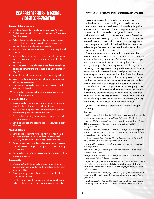# VIOLENCE PREVENTION

## Campus Administrators

- 1. Create a Presidential Task Force on Campus Violence.
- 2. Establish an institutional Position Statement on Preventing Sexual Violence.
- 3. Acknowledge institutional commitment to reduce sexual violence through press releases to campus community, community-at-large, alumni, and parents.
- 4. Mandate sexual violence prevention programming for all students.
- 5. Mandate the establishment of a coordinated, comprehensive, victim-centered response system for sexual violence incidents.
- 6. Revise Student's Code of Conduct and faculty/employee policies to demonstrate intolerance to sexual violence at any level.
- 7. Maintain compliance with federal and state regulations.
- 8. Support funding for prevention initiatives and bystander intervention programs.
- 9. Demonstrate mentorship to all campus constituencies for effective collaboration.
- 10. Participate in campus activities and programming to prevent sexual violence.

#### Academic Affairs

- 1. Educate students on primary prevention of all levels of sexual violence through curriculum infusion.
- 2. Seek classroom opportunities to participate in campus programming and prevention activities.
- 3. Participate in training to understand how to assist victims of sexual violence.
- 4. Serve as mentors and role models to encourage a culture of caring.

#### Student Affairs

- 1. Develop programming for all campus groups such as incoming students, transfer students, international students, athletic teams, and Greek organizations.
- 2. Serve as mentors and role models to students to encourage behavioral change and support a culture of civility and respect.
- 3. Participate in training to understand how to assist victims of sexual violence.

#### **Community**

- 1. Encourage/invite community groups to participate in campus trainings to understand the culture and dynamics of campus life.
- 2. Develop strategies for collaboration in sexual violence prevention initiatives.
- 3. Create partnerships for a coordinated, comprehensive, victim-centered response to sexual violence incidents.

# KEY PARTNERSHIPS IN SEXUAL PREVENTING SEXUAL PREVENTING SEXUAL VIOLENCE THROUGH EMPOWERING CAMPUS BYSTANDERS

Bystander interventions include a full range of options and levels of action, from speaking to a resident assistant about an encounter in a residence hall to calling the police. Interventions can occur with friends, acquaintances, and strangers, such as bartenders, designated drivers, professors, hotline staff, counselors, roommates, and others. Some interventions are best done by a group of friends and others are more effective in private, side conversations. Staying safe is always emphasized and balanced with keeping others safe. When people feel seriously threatened, authorities such as campus police should be called.

There are many reasons people do not intervene. They may not see the problem, do not know what to do, choose to mind their business, or feel out of their comfort zone. People must overcome many fears such as getting hurt, losing a friend, creating conflict, breaking a code of silence, embarrassment, or making someone angry. These obstacles to intervening should be discussed openly and pros and cons of intervening in various situations should be flushed out by the trainers. The moral imperative of intervening can be emphasized, as well as the benefits to the entire community. Students cannot learn well in an atmosphere of sexual intimidation.

Therefore, the entire campus community must grapple with the questions — how can we change the campus culture that gives rise to, promotes, creates the conditions for, condones, or ignores sexual violence on campus? How can we create a culture of caring where we do not allow humiliating, insulting, and harmful sexual attitudes and behaviors to flourish?

Joetta L. Carr, PhD is a professor at Western Michigan University.

#### References

Banyard, V.L., Moynihan, M.M., & Plante, E.G. (2007). Sexual violence prevention through bystander education: An experimental evaluation. *Journal of Community Psychology,* 35(4), 463-481.

Berkowitz, A.D. (2002). Fostering men's responsibility for preventing sexual assault. In P.A. Schewe (Ed.), *Preventing violence in relationships: Interventions across the lifespan* (pp. 163-196). Washington, DC: APA.

Fabiano, P.M., Perkins, H.W., Berkowitz, A.D., Linkenbach, J., & Stark, C. (2003). Engaging men as social justice allies in ending violence against women: Evidence for a social norms approach. *Journal of American College Health,* 5(3), 105-112.

Katz, J. (n.d.). *Mentors in Violence Prevention (MVP): Gender violence prevention education and training.* Retrieved 2007 from http://www.jacksonkatz.com/mvp.html.

Kilmartin, C. (2001). *Sexual assault in context: Teaching college men about gender.* Holmes Beach, FL: Learning Publications.

Lisak, D. & Miller, P.M. (2002). Repeat rape and multiple offending among undetected rapists. *Violence and Victims.* 17, 73-84.

McGann, P. (2005). *The effectiveness of Men of Strength Clubs.* Presentation at the National Sexual Assault Conference, Pittsburg, PA. [www.mencanstoprape.org]

Plante, E.G., Banyard, V.L., Moynihan, M.M., & Eckstein, R.P. (2007). Facilitator's Guide: Bringing in the bystander. A prevention workshop for establishing a community of responsibility. [Contact Victoria Banyard (Victoria.Banyard@unh.edu) or Mary Moynihan (marym@unh.edu) for a copy of the Facilitator's Guide]

Potter, S.J., Moynihan, M.M., Stapleton, J.G., & Banyard, V.L. (in press). Empowering bystanders to prevent campus violence against women: A preliminary evaluation of a poster campaign. *Violence Against Women.*

Potter, S.J., Stapleton, J.G., & Moynihan, M.M. (in press). Designing, implementing, and evaluating a media campaign illustrating the bystander role. *Journal of Prevention and Intervention in the Community.*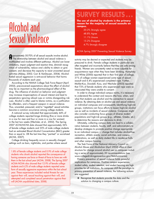# Alcohol and Sexual Violence

Approximately 50-70% of all sexual assaults involve alcohol. The relationship between alcohol and sexual violence is multifaceted and involves different pathways. Alcohol can lower inhibitions, impair judgment and reaction time, diminish recognition of vulnerability, reduce one's ability to obtain or give consent, and decrease the capacity to resist unwanted sexual activities (Abbey, 2002; Carr & VanDeusen, 2004). Alcoholfueled sexual aggression is anti-social behavior that harms thousands of students each year.

According to the NIAAA College Task Force Report (April 2002), preconceived expectations about the effect of alcohol may be as important as the pharmacological effect of the drug. The influence of alcohol on behavior and judgment may increase misperceptions of sexual interest and lead to perpetrators ignoring refusal cues or victims disregarding risk cues. Alcohol is often used to blame victims, as a justification by offenders, and a frequent weapon in sexual violence. Thus, unwanted, pressured, and/or "regretted" sexual activities become a common occurrence among college students.

A national survey indicated that approximately 44% of college students reported binge drinking (five or more drinks in a row for men and four or more in a row for women) in the last two weeks (Wechsler, et al., 2002). The Spring 2007 ACHA-NCHA data showed that approximately 36% of female college students and 35% of male college students had an estimated Blood Alcohol Concentration (BAC) greater than or equal to .08 the last time they "partied" or socialized (ACHA, 2007).

College drinking frequently occurs in sexually charged settings such as bars, nightclubs, and parties where sexual

1.8% of female college students and 0.9% of male college students who drank alcohol reported the consequence of having someone use force or threat of force to have sex with them in the last school year (ACHA, 2008). The Spring 2007 ACHA-NCHA also showed that 12.9% of female college students and 6.2% of male college students reported some form of sexually aggressive experience within the last school year. These experiences included verbal threats for sex against their will, sexual touching against their will, and attempted and completed sexual penetration against their will (ACHA unpublished data, 2008).

# **SURVEY RESULTS**

#### **The use of alcohol by students is the primary reason for the majority of sexual assaults on campus.**

| 20.2% Strongly agree   |
|------------------------|
| 48.8% Agree            |
| 11.1% Unsure           |
| 15.2% Disagree         |
| 4.7% Strongly disagree |

ACHA Spring 2007 Preventing Sexual Violence Survey

activity may be desired or expected and students may be pressured to drink. Female college students in particular are often targeted and incorrectly believe that they are safe among friends. Women are consistently rated as more culpable for acquaintance rape when they have been drinking. Humphrey and White (2000) reported that in their first year of college, 31% of college women experienced some type of sexual assault and 6.4% experienced completed rape. Further, Mohler-Kuo, Dowdall, Koss, and Wechsler (2003) reported that 72% of female students who experienced rape were so intoxicated they were unable to consent.

In order to change individual campus norms, it is necessary to understand the context and reasons (the how, when, and why) that students use alcohol and the connection to sexual violence. By obtaining data on alcohol use and sexual violence on individual campuses and consequently identifying high-risk groups, institutions can focus efforts to lessen high-risk alcohol use as well as incidents of sexual violence. Campuses might also consider conducting focus groups of diverse student populations and high-risk groups (e.g., athletes, Greeks, etc.) to determine the reasons and decisions to drink.

Ultimately, collecting campus data can lead to a collaboration between students, faculty, staff, and administrators to develop strategies to promote positive change appropriate to an individual campus — change that includes alcohol-free recreation, athletic events, social activities, and campus celebrations, as well as daily student life in residence halls and other campus housing.

The Task Force of the National Advisory Council on Alcohol Abuse and Alcoholism (April 2002) offers a clear structure for change around alcohol use on campuses including a series of approximately 20 recommendations (see www.collegedrinkingprevention.gov/StatsSummaries).

Primary prevention of sexual violence holds powerful implications for campuses. Positive campus experiences, student safety, student retention, and student learning are high priorities for all institutions. As campuses shift the paradigm to primary prevention of sexual violence, the following actions are suggested:

✤ Recognize that students provide the data and the solution to changing a campus culture.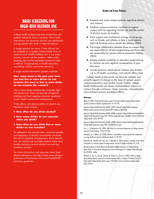# BRIEF SCREENING FOR HIGH-RISK ALCOHOL USE

College health professionals have limited time with students. Research shows, however, that a brief intervention can decrease alcohol use significantly among people who drink in high-risk fashion.

A single question (or more, if time allows) can be included on a student history/intake form or asked at each health/wellness visit. In just a few minutes, one can ask the question, reflect understanding, and use the teachable moment to make a referral, if appropriate, to health education, counseling, and/or community resources.

A single alcohol intervention question might be:

#### **How many times in the past year have you had five or more drinks on one occasion (for men) or four or more drinks on one occasion (for women)?**

One or more heavy drinking days indicates highrisk alcohol use. Even one episode of high-risk drinking can have negative physical, academic, social, and/or emotional consequences.

If time allows, ask about a pattern of alcohol use. Questions might include:

- ✤ **How often do you drink alcohol?**
- ✤ **How many drinks do you consume when you drink?**
- ✤ **How often do you drink five or more drinks on one occasion?**

As reflected in the national data, increased quantity and frequency of alcohol consumption increases the risk for negative consequences. Early intervention can reduce risk and help students make more healthy decisions around alcohol use and thus academic success.

For more information and resources about brief alcohol intervention, visit: http://pubs.niaaa.nih.gov/ publications/Practitioner/CliniciansGuide2005/ clinicians\_guide.htm

- ✤ Examine and revise campus policies regarding alcohol and violence.
- ✤ Establish campus-community coalitions to support campus policies regarding alcohol use and the control of alcohol access by students.
- ✤ Enlist support and involvement of large social groups such as Greeks and athletes to take a stand against high-risk drinking and/or forced sex (Abbey, 2002).
- ✤ Encourage collaboration between those on campus who are responsible for alcohol programming and those who are responsible for sexual violence prevention (Abbey, 2002).
- ✤ Employ multiple modalities in education programming on alcohol use and negative consequences of poor decisions.
- ✤ Include questions about sexual violence and alcohol use in all health, counseling, and judicial affairs visits.

College health professionals can become catalysts and powerful agents of change on the issue of campus sexual violence prevention and alcohol misuse. Further, college health professionals can lessen alcohol-related violence on campus through continuous, timely, accurate, comprehensive, and consistent primary prevention efforts.

#### References

Abbey, A. (2002). Alcohol-related sexual assault: A common problem among college students. *Journal of Studies on Alcohol,* Supplement No. 14, 118-128.

American College Health Association (ACHA). (2007). National college health assessment: Reference group executive summary spring 2007. Baltimore, MD: Author.

American College Health Association (ACHA). (2008). American College Health Association-National College Health Assessment spring 2007 reference group data report (abridged). *Journal of American College Health,* 56(5), 469-479.

American College Health Association (ACHA). (2008). American College Health Association-National College Health Assessment spring 2007. Unpublished raw data.

Carr, J.L., & VanDeusen, K.M. (2004). Risk factors for male sexual aggression on college campuses. *Journal of Family Violence,* 19(5), 279-289.

Humphrey, J.A., & White, J.W. (2000). Women's vulnerability to sexual assault from adolescence to young adulthood. *Journal of Adolescent Health,* 27, 419-424.

Mohler-Kuo M., Dowdall, G.W., Koss, M.P., & Wechsler, H. (2004, January). Correlates of rape while intoxicated in a national sample of college women. *Journal of Studies on Alcohol,* 65, 37-45.

National Institute on Alcohol Abuse and Alcoholism (NIAAA) Task Force on College Drinking. (April 2002). *A Call to Action: Changing the Culture of Drinking at U.S. Colleges.* (NIH publication No. 02-5010). Author.

Wechsler, H., Lee, J.E., Kuo, M., Seibring, M., Nelson, T.F., & Lee, H. (2002). Trends in college binge drinking during a period of increased prevention efforts. Findings of 4 Harvard School of Public Health College Alcohol Study Surveys: 1993-2001. *Journal of American College Health.* 50(5), 203-217.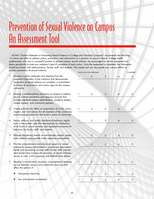# Prevention of Sexual Violence on Campus An Assessment Tool

ACHA's "Position Statement on Preventing Sexual Violence on College and University Campuses" recommends the following 15 actions be taken to address policy, prevention, and intervention as it pertains to sexual violence. College health professionals, who are in a powerful position to prevent campus sexual violence, are encouraged to use the assessment tool below periodically to note your institution's level of completion of each action. Once the assessment is completed, the information should be shared with administrators, faculty, staff, and students. This simple tool can also guide your campus efforts at primary prevention of sexual violence.

- Develop a policy statement and directive from the president/chancellor of the institution that demonstrates recognition of sexual violence as a problem, a commitment to reduce its occurrence, and action steps for the campus community.
- 2. Develop a multidisciplinary task force on campus to address sexual violence prevention and response services that includes high-level campus administration, academic leaders, student leaders, and community partners.
- 3. Create policies that reflect an expectation of civility, honor, respect, and nonviolence for all members of the community and encourage behaviors that build a sense of community.
- 4. Revise, enforce, and widely distribute disciplinary regulations in the student code that demonstrate an intolerance of all forms of sexual violence and implement sanctions for violations by faculty, staff, and students.
- 5. Educate disciplinary boards on non-stranger assaults, perpetrator patterns, and possible victim responses and patterns.
- 6. Provide comprehensive training on all aspects of sexual violence for campus administrators; campus law enforcement; health and counseling services staff; faculty; staff; and student leaders that includes the dynamics of sexual violence, access to care, victim response, and federal/state statutes.
- 7. Develop a coordinated, seamless, victim-centered responseservice between campus and community resources that offers the options of:
	- ✤ Anonymous reporting
	- Law enforcement involvement

|                                                                                                                                                                                                                                                                                                                                                                                                                | Action yet to be addressed |   |                          | Completed      |
|----------------------------------------------------------------------------------------------------------------------------------------------------------------------------------------------------------------------------------------------------------------------------------------------------------------------------------------------------------------------------------------------------------------|----------------------------|---|--------------------------|----------------|
| $\begin{array}{c} \hline \end{array}$                                                                                                                                                                                                                                                                                                                                                                          | $\overline{c}$             | 3 | $\overline{\mathcal{A}}$ | 5              |
|                                                                                                                                                                                                                                                                                                                                                                                                                |                            |   |                          |                |
|                                                                                                                                                                                                                                                                                                                                                                                                                |                            |   |                          |                |
|                                                                                                                                                                                                                                                                                                                                                                                                                |                            |   |                          |                |
| $\begin{array}{c} \rule{0pt}{2ex} \rule{0pt}{2ex} \rule{0pt}{2ex} \rule{0pt}{2ex} \rule{0pt}{2ex} \rule{0pt}{2ex} \rule{0pt}{2ex} \rule{0pt}{2ex} \rule{0pt}{2ex} \rule{0pt}{2ex} \rule{0pt}{2ex} \rule{0pt}{2ex} \rule{0pt}{2ex} \rule{0pt}{2ex} \rule{0pt}{2ex} \rule{0pt}{2ex} \rule{0pt}{2ex} \rule{0pt}{2ex} \rule{0pt}{2ex} \rule{0pt}{2ex} \rule{0pt}{2ex} \rule{0pt}{2ex} \rule{0pt}{2ex} \rule{0pt}{$ | $\overline{c}$             | 3 | $\pmb{4}$                | 5              |
|                                                                                                                                                                                                                                                                                                                                                                                                                |                            |   |                          |                |
|                                                                                                                                                                                                                                                                                                                                                                                                                |                            |   |                          |                |
| $\mathbf{I}$                                                                                                                                                                                                                                                                                                                                                                                                   | $\overline{\mathbf{c}}$    | 3 | $\overline{\mathcal{A}}$ | 5              |
|                                                                                                                                                                                                                                                                                                                                                                                                                |                            |   |                          |                |
|                                                                                                                                                                                                                                                                                                                                                                                                                |                            |   |                          |                |
| $\mathbf{1}$                                                                                                                                                                                                                                                                                                                                                                                                   | $\overline{c}$             | 3 | $\overline{\mathcal{A}}$ | 5              |
|                                                                                                                                                                                                                                                                                                                                                                                                                |                            |   |                          |                |
|                                                                                                                                                                                                                                                                                                                                                                                                                |                            |   |                          |                |
| $\frac{1}{1}$                                                                                                                                                                                                                                                                                                                                                                                                  | $\overline{c}$             | 3 | $\overline{\mathcal{A}}$ | 5              |
|                                                                                                                                                                                                                                                                                                                                                                                                                |                            |   |                          |                |
| $\mathbf{1}$                                                                                                                                                                                                                                                                                                                                                                                                   | $\overline{c}$             | 3 | $\overline{\mathcal{A}}$ | 5              |
|                                                                                                                                                                                                                                                                                                                                                                                                                |                            |   |                          |                |
|                                                                                                                                                                                                                                                                                                                                                                                                                |                            |   |                          |                |
|                                                                                                                                                                                                                                                                                                                                                                                                                |                            |   |                          |                |
| $\mathbf{I}$                                                                                                                                                                                                                                                                                                                                                                                                   | $\overline{c}$             | 3 | $\overline{\mathcal{A}}$ | 5              |
|                                                                                                                                                                                                                                                                                                                                                                                                                |                            |   |                          |                |
| $\mathbf{I}$                                                                                                                                                                                                                                                                                                                                                                                                   | $\overline{a}$             | 3 | $\overline{\mathbf{4}}$  | $\overline{5}$ |
|                                                                                                                                                                                                                                                                                                                                                                                                                |                            |   |                          |                |
| $\mathbf{1}$                                                                                                                                                                                                                                                                                                                                                                                                   | $\overline{\mathbf{c}}$    | 3 | $\overline{\mathcal{A}}$ | $\overline{5}$ |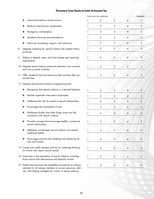# Prevention of Sexual Violence on Campus: An Assessment Tool

|    |                                                                                                                                                                                                 | Action yet to be addressed |                  |   |                | Completed      |  |  |
|----|-------------------------------------------------------------------------------------------------------------------------------------------------------------------------------------------------|----------------------------|------------------|---|----------------|----------------|--|--|
|    | Judicial/disciplinary board actions<br>❖                                                                                                                                                        |                            | 2                | 3 | $\overline{A}$ | $\sqrt{5}$     |  |  |
|    | Medical care/forensic examination<br>❖                                                                                                                                                          |                            | 2                | 3 | 4              | 5              |  |  |
|    | Emergency contraception<br>❖                                                                                                                                                                    |                            | $\mathbf{2}$     | 3 | 4              | 5              |  |  |
|    | Academic/housing accommodations<br>❖                                                                                                                                                            |                            | $\overline{2}$   | 3 | 4              | $\sqrt{5}$     |  |  |
|    | Follow-up counseling, support, and advocacy<br>❖                                                                                                                                                |                            | $\overline{2}$   | 3 | 4              | $\sqrt{5}$     |  |  |
| 8. | Integrate screening for sexual violence into patient history<br>protocols.                                                                                                                      |                            | 2                | 3 | 4              | 5              |  |  |
| 9. | Adhere to federal, state, and local statutes and reporting<br>requirements.                                                                                                                     |                            | $\mathbf{2}$     | 3 | 4              | $\overline{5}$ |  |  |
|    | 10. Integrate sexual violence prevention education into curricular<br>and non-curricular activities.                                                                                            |                            | $\overline{2}$   | 3 | $\overline{A}$ | $\sqrt{5}$     |  |  |
|    | 11. Offer residence hall and extra-curricular activities that are<br>alcohol free.                                                                                                              |                            | $\mathbf{2}$     | 3 | 4              | $\sqrt{5}$     |  |  |
|    | 12. Develop educational/outreach programming that:                                                                                                                                              |                            |                  |   |                |                |  |  |
|    | Recognizes that sexual violence is a learned behavior<br>❖                                                                                                                                      | 1                          | 2                | 3 | 4              | $\sqrt{5}$     |  |  |
|    | Teaches bystander intervention techniques<br>❖                                                                                                                                                  |                            | $\overline{2}$   | 3 | 4              | $\sqrt{5}$     |  |  |
|    | Addresses the role of consent in sexual relationships<br>❖                                                                                                                                      |                            | $\overline{2}$   | 3 | 4              | $\sqrt{5}$     |  |  |
|    | Encourages the involvement of men<br>❖                                                                                                                                                          |                            | $\overline{2}$   | 3 | 4              | $\sqrt{5}$     |  |  |
|    | Addresses alcohol and other drugs issues and the<br>❖<br>connection with sexual violence                                                                                                        |                            | $\overline{2}$   | 3 | 4              | $\sqrt{5}$     |  |  |
|    | Provides concepts that encourage healthy, consensual<br>❖<br>sexual relationships                                                                                                               | 1                          | $\overline{2}$   | 3 | $\overline{A}$ | $\sqrt{5}$     |  |  |
|    | Addresses non-stranger sexual violence and dispels<br>❖<br>traditional beliefs                                                                                                                  |                            | $\overline{c}$   | 3 | 4              | $\sqrt{5}$     |  |  |
|    | Encourages positive role modeling and mentoring for<br>❖<br>men and women                                                                                                                       |                            | $\mathbf{2}$     | 3 | 4              | $\mathfrak{S}$ |  |  |
|    | 13. Create and codify amnesty policies for underage drinking<br>for victims who report sexual assault.                                                                                          |                            | $\mathbf{2}$     | 3 | 4              | $\sqrt{5}$     |  |  |
|    | 14. Invest men in the prevention of sexual violence, including<br>those actions that dehumanize and objectify women.                                                                            |                            | $\overline{2}$   | 3 | 4              | $\sqrt{5}$     |  |  |
|    | 15. Publish and announce the availability of protocols on campus<br>websites for all campus members to access resources, refer-<br>rals, and helping strategies for victims of sexual violence. |                            | $\boldsymbol{2}$ | 3 | $\overline{4}$ | $\sqrt{5}$     |  |  |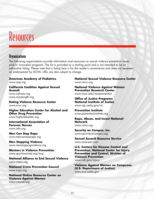# Resources

# **Organizations**

The following organizations provide information and resources on sexual violence prevention issues and/or innovative programs. The list is provided as a starting point and is not intended to be an exhaustive listing. Please note that a listing here is for the reader's convenience and does not represent an endorsement by ACHA. URLs are also subject to change.

**American Academy of Pediatrics** www.aap.org

**California Coalition Against Sexual Assault** www.calcasa.org www.mystrength.org

**Dating Violence Resource Center**  www.ncvc.org

**Higher Education Center for Alcohol and Other Drug Prevention**  www.higheredcenter.org

**International Association of Forensic Nurses**  www.iafn.org

**Men Can Stop Rape**  www.mencanstoprape.org

**Men Stopping Violence**  www.menstoppingviolence.org

**Mentors in Violence Prevention**  www.sportinsociety.org/mvp

**National Alliance to End Sexual Violence** www.naesv.org

**National Crime Prevention Council**  www.ncpc.org

**National Online Resource Center on Violence Against Women**  www.vawnet.org

**National Sexual Violence Resource Center**  www.nsvrc.org

**National Violence Against Women Prevention Research Center**  www.musc.edu/vawprevention

**Office of Justice Programs National Institute of Justice**  www.ojp.usdoj.gov/nij

**Prevention Institute** www.preventioninstitute.org

**Rape, Abuse, and Incest National Network** www.rainn.org

**Security on Campus, Inc.** www.securityoncampus.org

**Sexual Assault Resource Service** www.sane-sart.com

**U.S. Centers for Disease Control and Prevention. National Center for Injury Prevention and Control. Division of Violence Prevention**  www.cdc.gov/injury

**Violence Against Women on Campuses. (U.S. Department of Justice)**  www.ovw.usdoj.gov